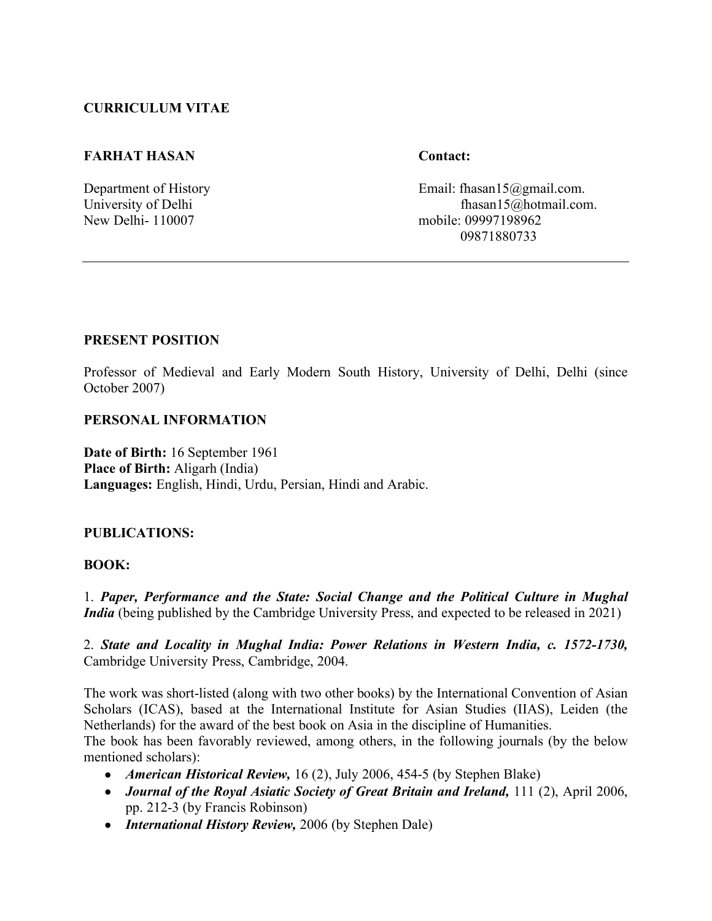## **CURRICULUM VITAE**

### **FARHAT HASAN Contact:**

Department of History **Email:** fhasan15@gmail.com. University of Delhi<br>
New Delhi- 110007 (notice: 09997198962) mobile: 09997198962 09871880733

### **PRESENT POSITION**

Professor of Medieval and Early Modern South History, University of Delhi, Delhi (since October 2007)

#### **PERSONAL INFORMATION**

**Date of Birth:** 16 September 1961 **Place of Birth:** Aligarh (India) **Languages:** English, Hindi, Urdu, Persian, Hindi and Arabic.

#### **PUBLICATIONS:**

#### **BOOK:**

1. *Paper, Performance and the State: Social Change and the Political Culture in Mughal India* (being published by the Cambridge University Press, and expected to be released in 2021)

2. *State and Locality in Mughal India: Power Relations in Western India, c. 1572-1730,* Cambridge University Press, Cambridge, 2004.

The work was short-listed (along with two other books) by the International Convention of Asian Scholars (ICAS), based at the International Institute for Asian Studies (IIAS), Leiden (the Netherlands) for the award of the best book on Asia in the discipline of Humanities.

The book has been favorably reviewed, among others, in the following journals (by the below mentioned scholars):

- *American Historical Review,* 16 (2), July 2006, 454-5 (by Stephen Blake)
- *Journal of the Royal Asiatic Society of Great Britain and Ireland, 111 (2), April 2006,* pp. 212-3 (by Francis Robinson)
- *International History Review,* 2006 (by Stephen Dale)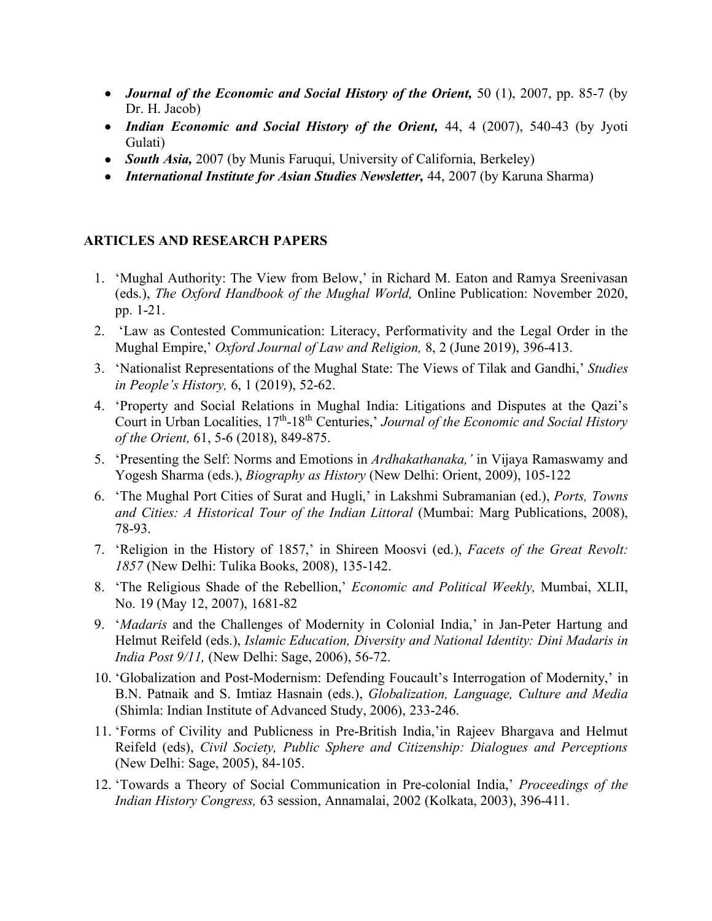- *Journal of the Economic and Social History of the Orient,* 50 (1), 2007, pp. 85-7 (by Dr. H. Jacob)
- *Indian Economic and Social History of the Orient,* 44, 4 (2007), 540-43 (by Jyoti Gulati)
- *South Asia,* 2007 (by Munis Faruqui, University of California, Berkeley)
- *International Institute for Asian Studies Newsletter,* 44, 2007 (by Karuna Sharma)

## **ARTICLES AND RESEARCH PAPERS**

- 1. 'Mughal Authority: The View from Below,' in Richard M. Eaton and Ramya Sreenivasan (eds.), *The Oxford Handbook of the Mughal World,* Online Publication: November 2020, pp. 1-21.
- 2. 'Law as Contested Communication: Literacy, Performativity and the Legal Order in the Mughal Empire,' *Oxford Journal of Law and Religion,* 8, 2 (June 2019), 396-413.
- 3. 'Nationalist Representations of the Mughal State: The Views of Tilak and Gandhi,' *Studies in People's History,* 6, 1 (2019), 52-62.
- 4. 'Property and Social Relations in Mughal India: Litigations and Disputes at the Qazi's Court in Urban Localities, 17th-18th Centuries,' *Journal of the Economic and Social History of the Orient,* 61, 5-6 (2018), 849-875.
- 5. 'Presenting the Self: Norms and Emotions in *Ardhakathanaka,'* in Vijaya Ramaswamy and Yogesh Sharma (eds.), *Biography as History* (New Delhi: Orient, 2009), 105-122
- 6. 'The Mughal Port Cities of Surat and Hugli,' in Lakshmi Subramanian (ed.), *Ports, Towns and Cities: A Historical Tour of the Indian Littoral* (Mumbai: Marg Publications, 2008), 78-93.
- 7. 'Religion in the History of 1857,' in Shireen Moosvi (ed.), *Facets of the Great Revolt: 1857* (New Delhi: Tulika Books, 2008), 135-142.
- 8. 'The Religious Shade of the Rebellion,' *Economic and Political Weekly,* Mumbai, XLII, No. 19 (May 12, 2007), 1681-82
- 9. '*Madaris* and the Challenges of Modernity in Colonial India,' in Jan-Peter Hartung and Helmut Reifeld (eds.), *Islamic Education, Diversity and National Identity: Dini Madaris in India Post 9/11,* (New Delhi: Sage, 2006), 56-72.
- 10. 'Globalization and Post-Modernism: Defending Foucault's Interrogation of Modernity,' in B.N. Patnaik and S. Imtiaz Hasnain (eds.), *Globalization, Language, Culture and Media*  (Shimla: Indian Institute of Advanced Study, 2006), 233-246.
- 11. 'Forms of Civility and Publicness in Pre-British India,'in Rajeev Bhargava and Helmut Reifeld (eds), *Civil Society, Public Sphere and Citizenship: Dialogues and Perceptions*  (New Delhi: Sage, 2005), 84-105.
- 12. 'Towards a Theory of Social Communication in Pre-colonial India,' *Proceedings of the Indian History Congress,* 63 session, Annamalai, 2002 (Kolkata, 2003), 396-411.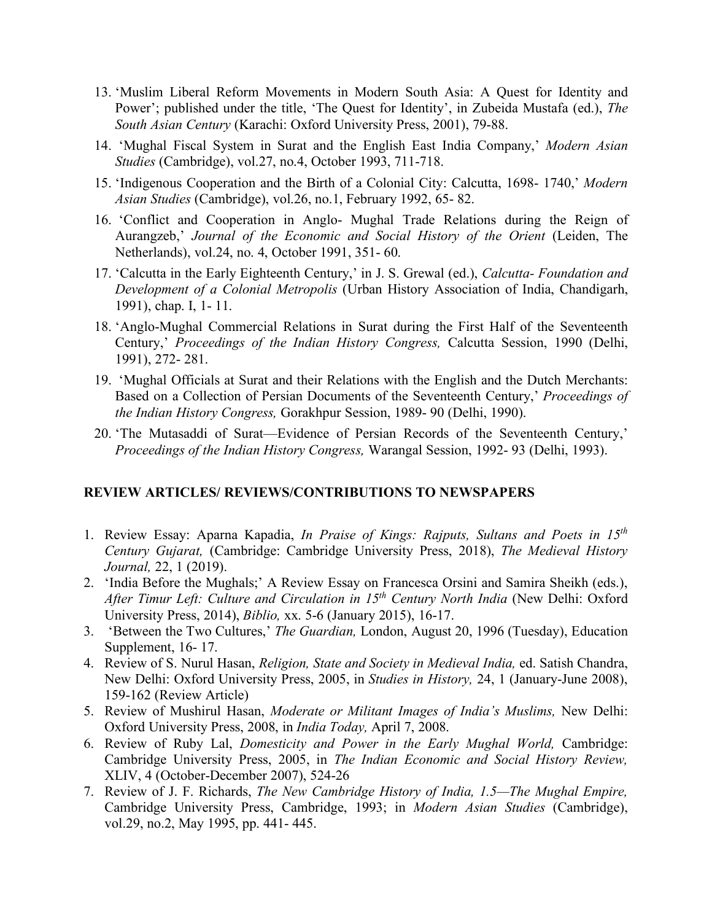- 13. 'Muslim Liberal Reform Movements in Modern South Asia: A Quest for Identity and Power'; published under the title, 'The Quest for Identity', in Zubeida Mustafa (ed.), *The South Asian Century* (Karachi: Oxford University Press, 2001), 79-88.
- 14. 'Mughal Fiscal System in Surat and the English East India Company,' *Modern Asian Studies* (Cambridge), vol.27, no.4, October 1993, 711-718.
- 15. 'Indigenous Cooperation and the Birth of a Colonial City: Calcutta, 1698- 1740,' *Modern Asian Studies* (Cambridge), vol.26, no.1, February 1992, 65- 82.
- 16. 'Conflict and Cooperation in Anglo- Mughal Trade Relations during the Reign of Aurangzeb,' *Journal of the Economic and Social History of the Orient* (Leiden, The Netherlands), vol.24, no. 4, October 1991, 351- 60.
- 17. 'Calcutta in the Early Eighteenth Century,' in J. S. Grewal (ed.), *Calcutta- Foundation and Development of a Colonial Metropolis* (Urban History Association of India, Chandigarh, 1991), chap. I, 1- 11.
- 18. 'Anglo-Mughal Commercial Relations in Surat during the First Half of the Seventeenth Century,' *Proceedings of the Indian History Congress,* Calcutta Session, 1990 (Delhi, 1991), 272- 281.
- 19. 'Mughal Officials at Surat and their Relations with the English and the Dutch Merchants: Based on a Collection of Persian Documents of the Seventeenth Century,' *Proceedings of the Indian History Congress,* Gorakhpur Session, 1989- 90 (Delhi, 1990).
- 20. 'The Mutasaddi of Surat—Evidence of Persian Records of the Seventeenth Century,' *Proceedings of the Indian History Congress,* Warangal Session, 1992- 93 (Delhi, 1993).

## **REVIEW ARTICLES/ REVIEWS/CONTRIBUTIONS TO NEWSPAPERS**

- 1. Review Essay: Aparna Kapadia, *In Praise of Kings: Rajputs, Sultans and Poets in 15th Century Gujarat,* (Cambridge: Cambridge University Press, 2018), *The Medieval History Journal,* 22, 1 (2019).
- 2. 'India Before the Mughals;' A Review Essay on Francesca Orsini and Samira Sheikh (eds.), *After Timur Left: Culture and Circulation in 15th Century North India* (New Delhi: Oxford University Press, 2014), *Biblio,* xx. 5-6 (January 2015), 16-17.
- 3. 'Between the Two Cultures,' *The Guardian,* London, August 20, 1996 (Tuesday), Education Supplement, 16- 17.
- 4. Review of S. Nurul Hasan, *Religion, State and Society in Medieval India,* ed. Satish Chandra, New Delhi: Oxford University Press, 2005, in *Studies in History,* 24, 1 (January-June 2008), 159-162 (Review Article)
- 5. Review of Mushirul Hasan, *Moderate or Militant Images of India's Muslims,* New Delhi: Oxford University Press, 2008, in *India Today,* April 7, 2008.
- 6. Review of Ruby Lal, *Domesticity and Power in the Early Mughal World,* Cambridge: Cambridge University Press, 2005, in *The Indian Economic and Social History Review,* XLIV, 4 (October-December 2007), 524-26
- 7. Review of J. F. Richards, *The New Cambridge History of India, 1.5—The Mughal Empire,* Cambridge University Press, Cambridge, 1993; in *Modern Asian Studies* (Cambridge), vol.29, no.2, May 1995, pp. 441- 445.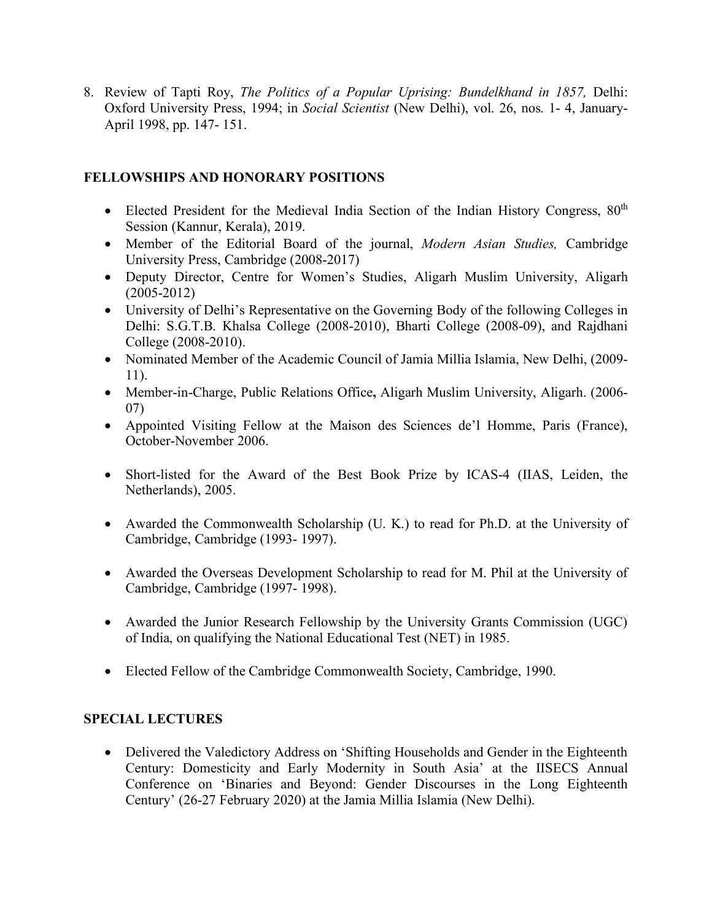8. Review of Tapti Roy, *The Politics of a Popular Uprising: Bundelkhand in 1857,* Delhi: Oxford University Press, 1994; in *Social Scientist* (New Delhi), vol. 26, nos. 1- 4, January-April 1998, pp. 147- 151.

## **FELLOWSHIPS AND HONORARY POSITIONS**

- Elected President for the Medieval India Section of the Indian History Congress,  $80<sup>th</sup>$ Session (Kannur, Kerala), 2019.
- Member of the Editorial Board of the journal, *Modern Asian Studies,* Cambridge University Press, Cambridge (2008-2017)
- Deputy Director, Centre for Women's Studies, Aligarh Muslim University, Aligarh (2005-2012)
- University of Delhi's Representative on the Governing Body of the following Colleges in Delhi: S.G.T.B. Khalsa College (2008-2010), Bharti College (2008-09), and Rajdhani College (2008-2010).
- Nominated Member of the Academic Council of Jamia Millia Islamia, New Delhi, (2009- 11).
- Member-in-Charge, Public Relations Office**,** Aligarh Muslim University, Aligarh. (2006- 07)
- Appointed Visiting Fellow at the Maison des Sciences de'l Homme, Paris (France), October-November 2006.
- Short-listed for the Award of the Best Book Prize by ICAS-4 (IIAS, Leiden, the Netherlands), 2005.
- Awarded the Commonwealth Scholarship (U. K.) to read for Ph.D. at the University of Cambridge, Cambridge (1993- 1997).
- Awarded the Overseas Development Scholarship to read for M. Phil at the University of Cambridge, Cambridge (1997- 1998).
- Awarded the Junior Research Fellowship by the University Grants Commission (UGC) of India, on qualifying the National Educational Test (NET) in 1985.
- Elected Fellow of the Cambridge Commonwealth Society, Cambridge, 1990.

## **SPECIAL LECTURES**

• Delivered the Valedictory Address on 'Shifting Households and Gender in the Eighteenth Century: Domesticity and Early Modernity in South Asia' at the IISECS Annual Conference on 'Binaries and Beyond: Gender Discourses in the Long Eighteenth Century' (26-27 February 2020) at the Jamia Millia Islamia (New Delhi).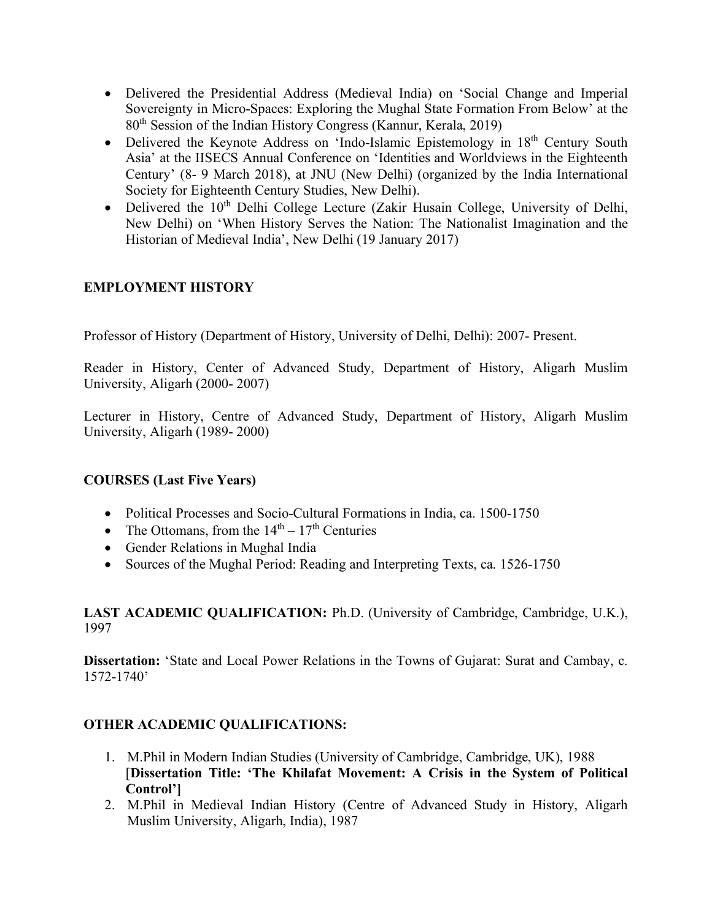- Delivered the Presidential Address (Medieval India) on 'Social Change and Imperial Sovereignty in Micro-Spaces: Exploring the Mughal State Formation From Below' at the 80th Session of the Indian History Congress (Kannur, Kerala, 2019)
- Delivered the Keynote Address on 'Indo-Islamic Epistemology in  $18<sup>th</sup>$  Century South Asia' at the IISECS Annual Conference on 'Identities and Worldviews in the Eighteenth Century' (8- 9 March 2018), at JNU (New Delhi) (organized by the India International Society for Eighteenth Century Studies, New Delhi).
- Delivered the  $10<sup>th</sup>$  Delhi College Lecture (Zakir Husain College, University of Delhi, New Delhi) on 'When History Serves the Nation: The Nationalist Imagination and the Historian of Medieval India', New Delhi (19 January 2017)

# **EMPLOYMENT HISTORY**

Professor of History (Department of History, University of Delhi, Delhi): 2007- Present.

Reader in History, Center of Advanced Study, Department of History, Aligarh Muslim University, Aligarh (2000- 2007)

Lecturer in History, Centre of Advanced Study, Department of History, Aligarh Muslim University, Aligarh (1989- 2000)

## **COURSES (Last Five Years)**

- Political Processes and Socio-Cultural Formations in India, ca. 1500-1750
- The Ottomans, from the  $14<sup>th</sup> 17<sup>th</sup>$  Centuries
- Gender Relations in Mughal India
- Sources of the Mughal Period: Reading and Interpreting Texts, ca. 1526-1750

## **LAST ACADEMIC QUALIFICATION:** Ph.D. (University of Cambridge, Cambridge, U.K.), 1997

**Dissertation:** 'State and Local Power Relations in the Towns of Gujarat: Surat and Cambay, c. 1572-1740'

# **OTHER ACADEMIC QUALIFICATIONS:**

- 1. M.Phil in Modern Indian Studies (University of Cambridge, Cambridge, UK), 1988 [**Dissertation Title: 'The Khilafat Movement: A Crisis in the System of Political Control']**
- 2. M.Phil in Medieval Indian History (Centre of Advanced Study in History, Aligarh Muslim University, Aligarh, India), 1987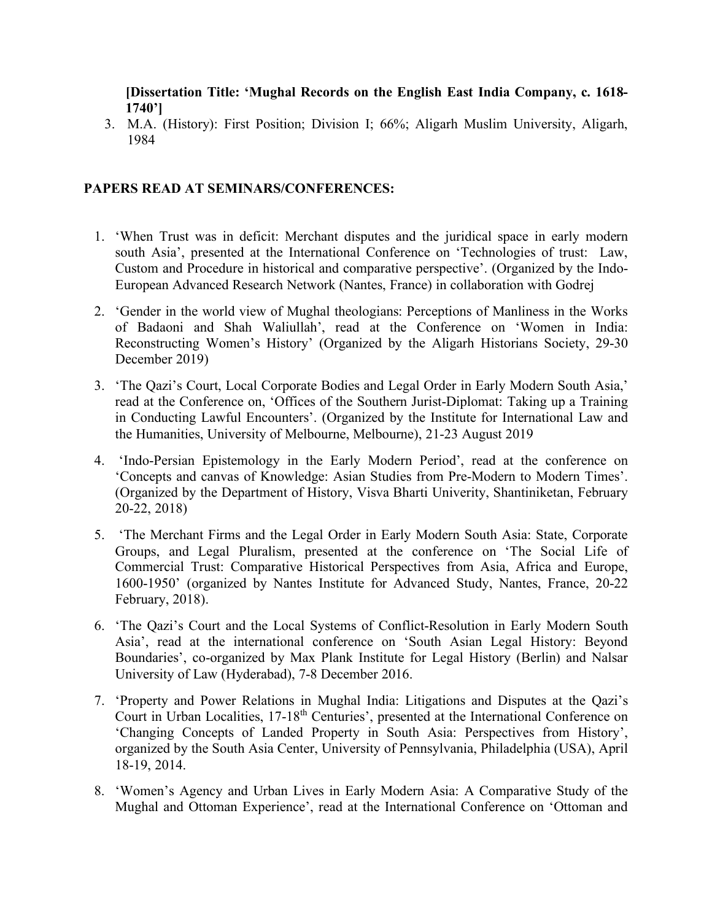**[Dissertation Title: 'Mughal Records on the English East India Company, c. 1618- 1740']**

3. M.A. (History): First Position; Division I; 66%; Aligarh Muslim University, Aligarh, 1984

## **PAPERS READ AT SEMINARS/CONFERENCES:**

- 1. 'When Trust was in deficit: Merchant disputes and the juridical space in early modern south Asia', presented at the International Conference on 'Technologies of trust: Law, Custom and Procedure in historical and comparative perspective'. (Organized by the Indo-European Advanced Research Network (Nantes, France) in collaboration with Godrej
- 2. 'Gender in the world view of Mughal theologians: Perceptions of Manliness in the Works of Badaoni and Shah Waliullah', read at the Conference on 'Women in India: Reconstructing Women's History' (Organized by the Aligarh Historians Society, 29-30 December 2019)
- 3. 'The Qazi's Court, Local Corporate Bodies and Legal Order in Early Modern South Asia,' read at the Conference on, 'Offices of the Southern Jurist-Diplomat: Taking up a Training in Conducting Lawful Encounters'. (Organized by the Institute for International Law and the Humanities, University of Melbourne, Melbourne), 21-23 August 2019
- 4. 'Indo-Persian Epistemology in the Early Modern Period', read at the conference on 'Concepts and canvas of Knowledge: Asian Studies from Pre-Modern to Modern Times'. (Organized by the Department of History, Visva Bharti Univerity, Shantiniketan, February 20-22, 2018)
- 5. 'The Merchant Firms and the Legal Order in Early Modern South Asia: State, Corporate Groups, and Legal Pluralism, presented at the conference on 'The Social Life of Commercial Trust: Comparative Historical Perspectives from Asia, Africa and Europe, 1600-1950' (organized by Nantes Institute for Advanced Study, Nantes, France, 20-22 February, 2018).
- 6. 'The Qazi's Court and the Local Systems of Conflict-Resolution in Early Modern South Asia', read at the international conference on 'South Asian Legal History: Beyond Boundaries', co-organized by Max Plank Institute for Legal History (Berlin) and Nalsar University of Law (Hyderabad), 7-8 December 2016.
- 7. 'Property and Power Relations in Mughal India: Litigations and Disputes at the Qazi's Court in Urban Localities, 17-18<sup>th</sup> Centuries', presented at the International Conference on 'Changing Concepts of Landed Property in South Asia: Perspectives from History', organized by the South Asia Center, University of Pennsylvania, Philadelphia (USA), April 18-19, 2014.
- 8. 'Women's Agency and Urban Lives in Early Modern Asia: A Comparative Study of the Mughal and Ottoman Experience', read at the International Conference on 'Ottoman and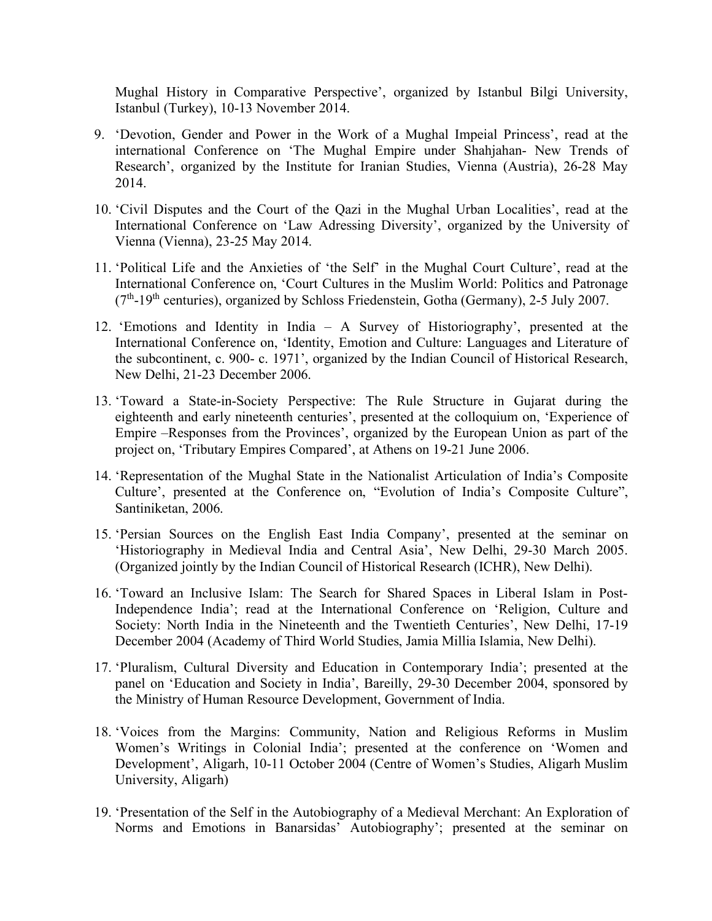Mughal History in Comparative Perspective', organized by Istanbul Bilgi University, Istanbul (Turkey), 10-13 November 2014.

- 9. 'Devotion, Gender and Power in the Work of a Mughal Impeial Princess', read at the international Conference on 'The Mughal Empire under Shahjahan- New Trends of Research', organized by the Institute for Iranian Studies, Vienna (Austria), 26-28 May 2014.
- 10. 'Civil Disputes and the Court of the Qazi in the Mughal Urban Localities', read at the International Conference on 'Law Adressing Diversity', organized by the University of Vienna (Vienna), 23-25 May 2014.
- 11. 'Political Life and the Anxieties of 'the Self' in the Mughal Court Culture', read at the International Conference on, 'Court Cultures in the Muslim World: Politics and Patronage  $(7<sup>th</sup>-19<sup>th</sup>$  centuries), organized by Schloss Friedenstein, Gotha (Germany), 2-5 July 2007.
- 12. 'Emotions and Identity in India A Survey of Historiography', presented at the International Conference on, 'Identity, Emotion and Culture: Languages and Literature of the subcontinent, c. 900- c. 1971', organized by the Indian Council of Historical Research, New Delhi, 21-23 December 2006.
- 13. 'Toward a State-in-Society Perspective: The Rule Structure in Gujarat during the eighteenth and early nineteenth centuries', presented at the colloquium on, 'Experience of Empire –Responses from the Provinces', organized by the European Union as part of the project on, 'Tributary Empires Compared', at Athens on 19-21 June 2006.
- 14. 'Representation of the Mughal State in the Nationalist Articulation of India's Composite Culture', presented at the Conference on, "Evolution of India's Composite Culture", Santiniketan, 2006.
- 15. 'Persian Sources on the English East India Company', presented at the seminar on 'Historiography in Medieval India and Central Asia', New Delhi, 29-30 March 2005. (Organized jointly by the Indian Council of Historical Research (ICHR), New Delhi).
- 16. 'Toward an Inclusive Islam: The Search for Shared Spaces in Liberal Islam in Post-Independence India'; read at the International Conference on 'Religion, Culture and Society: North India in the Nineteenth and the Twentieth Centuries', New Delhi, 17-19 December 2004 (Academy of Third World Studies, Jamia Millia Islamia, New Delhi).
- 17. 'Pluralism, Cultural Diversity and Education in Contemporary India'; presented at the panel on 'Education and Society in India', Bareilly, 29-30 December 2004, sponsored by the Ministry of Human Resource Development, Government of India.
- 18. 'Voices from the Margins: Community, Nation and Religious Reforms in Muslim Women's Writings in Colonial India'; presented at the conference on 'Women and Development', Aligarh, 10-11 October 2004 (Centre of Women's Studies, Aligarh Muslim University, Aligarh)
- 19. 'Presentation of the Self in the Autobiography of a Medieval Merchant: An Exploration of Norms and Emotions in Banarsidas' Autobiography'; presented at the seminar on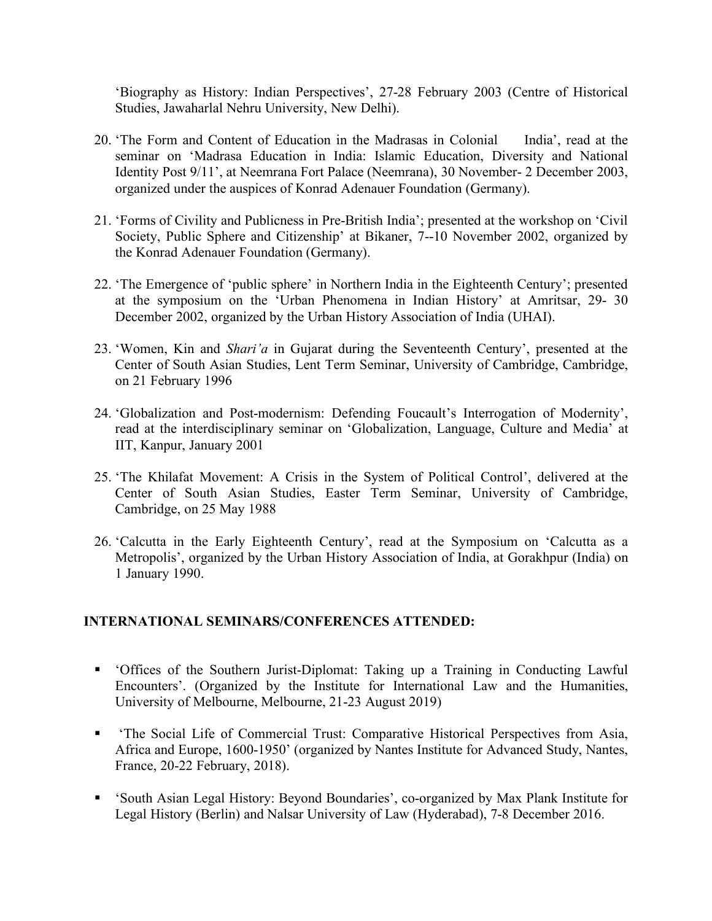'Biography as History: Indian Perspectives', 27-28 February 2003 (Centre of Historical Studies, Jawaharlal Nehru University, New Delhi).

- 20. 'The Form and Content of Education in the Madrasas in Colonial India', read at the seminar on 'Madrasa Education in India: Islamic Education, Diversity and National Identity Post 9/11', at Neemrana Fort Palace (Neemrana), 30 November- 2 December 2003, organized under the auspices of Konrad Adenauer Foundation (Germany).
- 21. 'Forms of Civility and Publicness in Pre-British India'; presented at the workshop on 'Civil Society, Public Sphere and Citizenship' at Bikaner, 7--10 November 2002, organized by the Konrad Adenauer Foundation (Germany).
- 22. 'The Emergence of 'public sphere' in Northern India in the Eighteenth Century'; presented at the symposium on the 'Urban Phenomena in Indian History' at Amritsar, 29- 30 December 2002, organized by the Urban History Association of India (UHAI).
- 23. 'Women, Kin and *Shari'a* in Gujarat during the Seventeenth Century', presented at the Center of South Asian Studies, Lent Term Seminar, University of Cambridge, Cambridge, on 21 February 1996
- 24. 'Globalization and Post-modernism: Defending Foucault's Interrogation of Modernity', read at the interdisciplinary seminar on 'Globalization, Language, Culture and Media' at IIT, Kanpur, January 2001
- 25. 'The Khilafat Movement: A Crisis in the System of Political Control', delivered at the Center of South Asian Studies, Easter Term Seminar, University of Cambridge, Cambridge, on 25 May 1988
- 26. 'Calcutta in the Early Eighteenth Century', read at the Symposium on 'Calcutta as a Metropolis', organized by the Urban History Association of India, at Gorakhpur (India) on 1 January 1990.

### **INTERNATIONAL SEMINARS/CONFERENCES ATTENDED:**

- 'Offices of the Southern Jurist-Diplomat: Taking up a Training in Conducting Lawful Encounters'. (Organized by the Institute for International Law and the Humanities, University of Melbourne, Melbourne, 21-23 August 2019)
- 'The Social Life of Commercial Trust: Comparative Historical Perspectives from Asia, Africa and Europe, 1600-1950' (organized by Nantes Institute for Advanced Study, Nantes, France, 20-22 February, 2018).
- 'South Asian Legal History: Beyond Boundaries', co-organized by Max Plank Institute for Legal History (Berlin) and Nalsar University of Law (Hyderabad), 7-8 December 2016.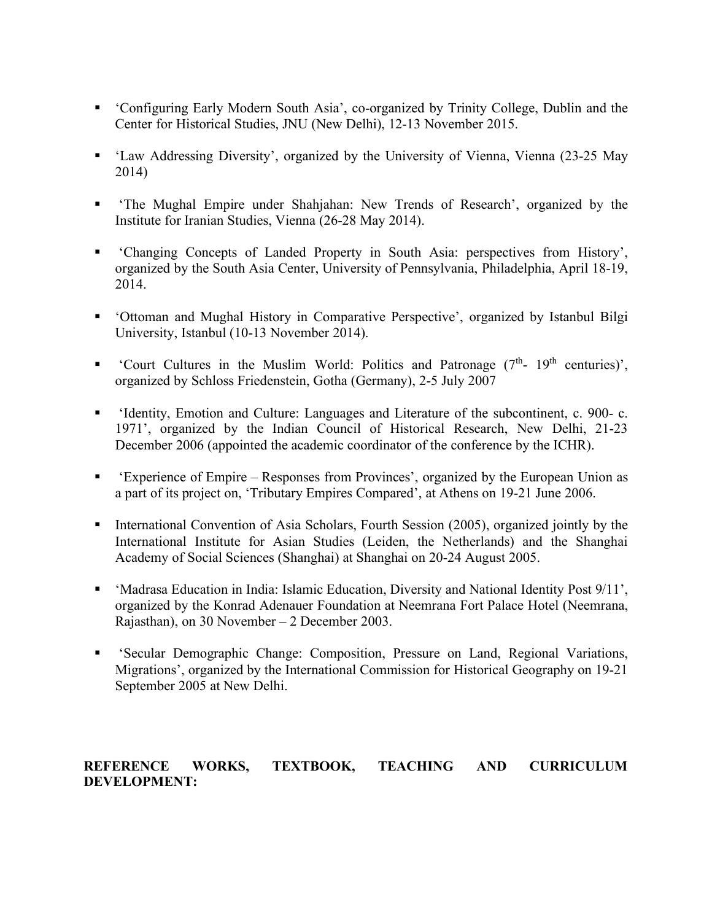- 'Configuring Early Modern South Asia', co-organized by Trinity College, Dublin and the Center for Historical Studies, JNU (New Delhi), 12-13 November 2015.
- 'Law Addressing Diversity', organized by the University of Vienna, Vienna (23-25 May 2014)
- 'The Mughal Empire under Shahjahan: New Trends of Research', organized by the Institute for Iranian Studies, Vienna (26-28 May 2014).
- 'Changing Concepts of Landed Property in South Asia: perspectives from History', organized by the South Asia Center, University of Pennsylvania, Philadelphia, April 18-19, 2014.
- 'Ottoman and Mughal History in Comparative Perspective', organized by Istanbul Bilgi University, Istanbul (10-13 November 2014).
- " 'Court Cultures in the Muslim World: Politics and Patronage  $(7<sup>th</sup>-19<sup>th</sup>$  centuries)', organized by Schloss Friedenstein, Gotha (Germany), 2-5 July 2007
- 'Identity, Emotion and Culture: Languages and Literature of the subcontinent, c. 900- c. 1971', organized by the Indian Council of Historical Research, New Delhi, 21-23 December 2006 (appointed the academic coordinator of the conference by the ICHR).
- 'Experience of Empire Responses from Provinces', organized by the European Union as a part of its project on, 'Tributary Empires Compared', at Athens on 19-21 June 2006.
- International Convention of Asia Scholars, Fourth Session (2005), organized jointly by the International Institute for Asian Studies (Leiden, the Netherlands) and the Shanghai Academy of Social Sciences (Shanghai) at Shanghai on 20-24 August 2005.
- 'Madrasa Education in India: Islamic Education, Diversity and National Identity Post 9/11', organized by the Konrad Adenauer Foundation at Neemrana Fort Palace Hotel (Neemrana, Rajasthan), on 30 November – 2 December 2003.
- 'Secular Demographic Change: Composition, Pressure on Land, Regional Variations, Migrations', organized by the International Commission for Historical Geography on 19-21 September 2005 at New Delhi.

## **REFERENCE WORKS, TEXTBOOK, TEACHING AND CURRICULUM DEVELOPMENT:**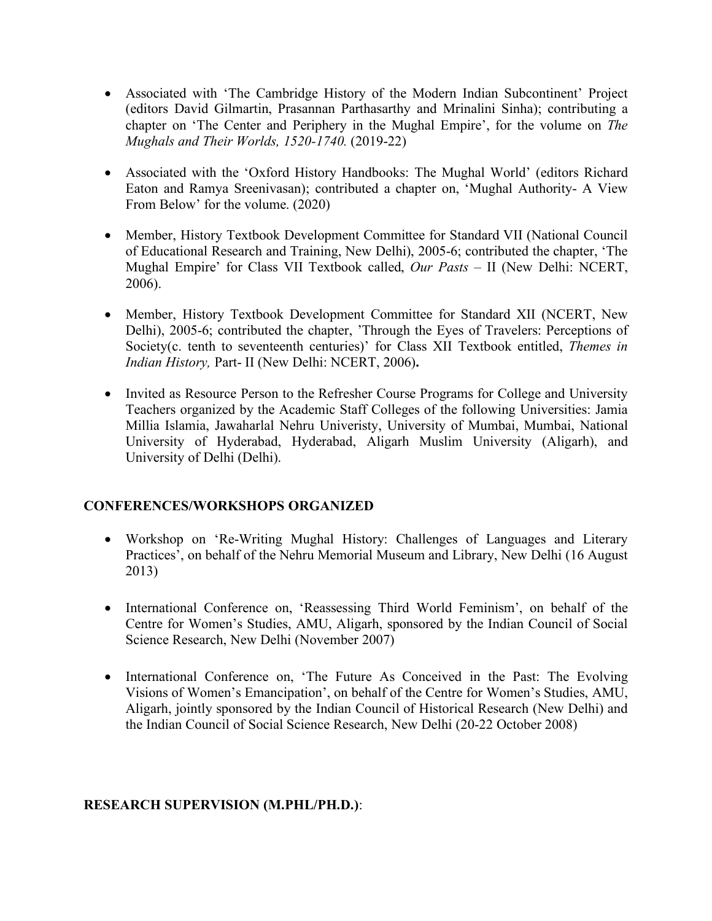- Associated with 'The Cambridge History of the Modern Indian Subcontinent' Project (editors David Gilmartin, Prasannan Parthasarthy and Mrinalini Sinha); contributing a chapter on 'The Center and Periphery in the Mughal Empire', for the volume on *The Mughals and Their Worlds, 1520-1740.* (2019-22)
- Associated with the 'Oxford History Handbooks: The Mughal World' (editors Richard Eaton and Ramya Sreenivasan); contributed a chapter on, 'Mughal Authority- A View From Below' for the volume. (2020)
- Member, History Textbook Development Committee for Standard VII (National Council of Educational Research and Training, New Delhi), 2005-6; contributed the chapter, 'The Mughal Empire' for Class VII Textbook called, *Our Pasts* – II (New Delhi: NCERT, 2006).
- Member, History Textbook Development Committee for Standard XII (NCERT, New Delhi), 2005-6; contributed the chapter, 'Through the Eyes of Travelers: Perceptions of Society(c. tenth to seventeenth centuries)' for Class XII Textbook entitled, *Themes in Indian History,* Part- II (New Delhi: NCERT, 2006)**.**
- Invited as Resource Person to the Refresher Course Programs for College and University Teachers organized by the Academic Staff Colleges of the following Universities: Jamia Millia Islamia, Jawaharlal Nehru Univeristy, University of Mumbai, Mumbai, National University of Hyderabad, Hyderabad, Aligarh Muslim University (Aligarh), and University of Delhi (Delhi).

## **CONFERENCES/WORKSHOPS ORGANIZED**

- Workshop on 'Re-Writing Mughal History: Challenges of Languages and Literary Practices', on behalf of the Nehru Memorial Museum and Library, New Delhi (16 August 2013)
- International Conference on, 'Reassessing Third World Feminism', on behalf of the Centre for Women's Studies, AMU, Aligarh, sponsored by the Indian Council of Social Science Research, New Delhi (November 2007)
- International Conference on, 'The Future As Conceived in the Past: The Evolving Visions of Women's Emancipation', on behalf of the Centre for Women's Studies, AMU, Aligarh, jointly sponsored by the Indian Council of Historical Research (New Delhi) and the Indian Council of Social Science Research, New Delhi (20-22 October 2008)

### **RESEARCH SUPERVISION (M.PHL/PH.D.)**: